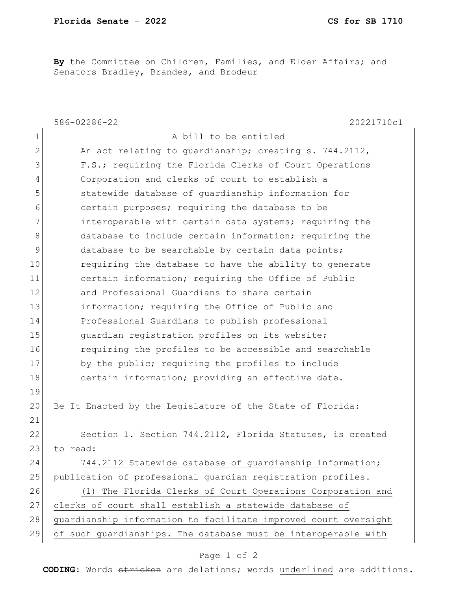**By** the Committee on Children, Families, and Elder Affairs; and Senators Bradley, Brandes, and Brodeur

|              | 586-02286-22<br>20221710c1                                      |
|--------------|-----------------------------------------------------------------|
| $\mathbf 1$  | A bill to be entitled                                           |
| $\mathbf{2}$ | An act relating to guardianship; creating s. 744.2112,          |
| 3            | F.S.; requiring the Florida Clerks of Court Operations          |
| 4            | Corporation and clerks of court to establish a                  |
| 5            | statewide database of quardianship information for              |
| 6            | certain purposes; requiring the database to be                  |
| 7            | interoperable with certain data systems; requiring the          |
| 8            | database to include certain information; requiring the          |
| 9            | database to be searchable by certain data points;               |
| 10           | requiring the database to have the ability to generate          |
| 11           | certain information; requiring the Office of Public             |
| 12           | and Professional Guardians to share certain                     |
| 13           | information; requiring the Office of Public and                 |
| 14           | Professional Guardians to publish professional                  |
| 15           | guardian registration profiles on its website;                  |
| 16           | requiring the profiles to be accessible and searchable          |
| 17           | by the public; requiring the profiles to include                |
| 18           | certain information; providing an effective date.               |
| 19           |                                                                 |
| 20           | Be It Enacted by the Legislature of the State of Florida:       |
| 21           |                                                                 |
| 22           | Section 1. Section 744.2112, Florida Statutes, is created       |
| 23           | to read:                                                        |
| 24           | 744.2112 Statewide database of guardianship information;        |
| 25           | publication of professional guardian registration profiles.-    |
| 26           | (1) The Florida Clerks of Court Operations Corporation and      |
| 27           | clerks of court shall establish a statewide database of         |
| 28           | guardianship information to facilitate improved court oversight |
| 29           | of such guardianships. The database must be interoperable with  |

## Page 1 of 2

**CODING**: Words stricken are deletions; words underlined are additions.